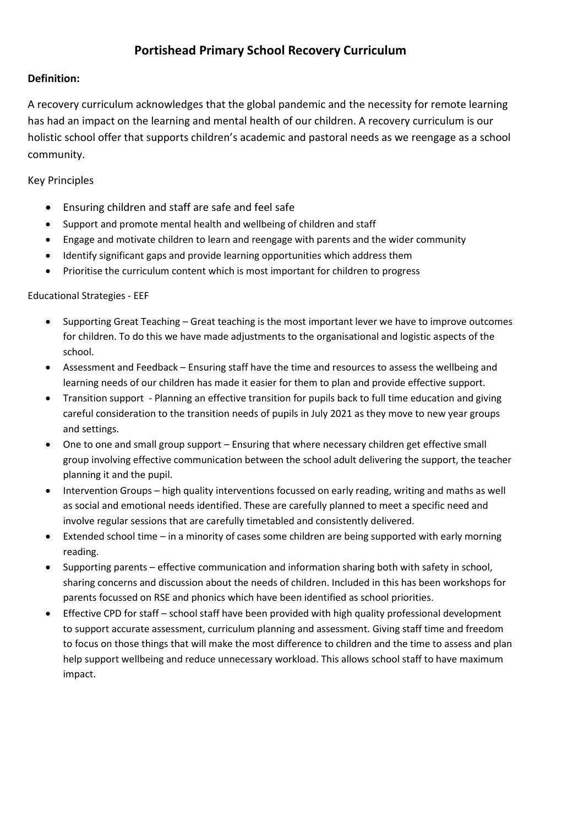## **Portishead Primary School Recovery Curriculum**

## **Definition:**

A recovery curriculum acknowledges that the global pandemic and the necessity for remote learning has had an impact on the learning and mental health of our children. A recovery curriculum is our holistic school offer that supports children's academic and pastoral needs as we reengage as a school community.

## Key Principles

- Ensuring children and staff are safe and feel safe
- Support and promote mental health and wellbeing of children and staff
- Engage and motivate children to learn and reengage with parents and the wider community
- Identify significant gaps and provide learning opportunities which address them
- Prioritise the curriculum content which is most important for children to progress

## Educational Strategies - EEF

- Supporting Great Teaching Great teaching is the most important lever we have to improve outcomes for children. To do this we have made adjustments to the organisational and logistic aspects of the school.
- Assessment and Feedback Ensuring staff have the time and resources to assess the wellbeing and learning needs of our children has made it easier for them to plan and provide effective support.
- Transition support Planning an effective transition for pupils back to full time education and giving careful consideration to the transition needs of pupils in July 2021 as they move to new year groups and settings.
- One to one and small group support Ensuring that where necessary children get effective small group involving effective communication between the school adult delivering the support, the teacher planning it and the pupil.
- Intervention Groups high quality interventions focussed on early reading, writing and maths as well as social and emotional needs identified. These are carefully planned to meet a specific need and involve regular sessions that are carefully timetabled and consistently delivered.
- Extended school time in a minority of cases some children are being supported with early morning reading.
- Supporting parents effective communication and information sharing both with safety in school, sharing concerns and discussion about the needs of children. Included in this has been workshops for parents focussed on RSE and phonics which have been identified as school priorities.
- Effective CPD for staff school staff have been provided with high quality professional development to support accurate assessment, curriculum planning and assessment. Giving staff time and freedom to focus on those things that will make the most difference to children and the time to assess and plan help support wellbeing and reduce unnecessary workload. This allows school staff to have maximum impact.